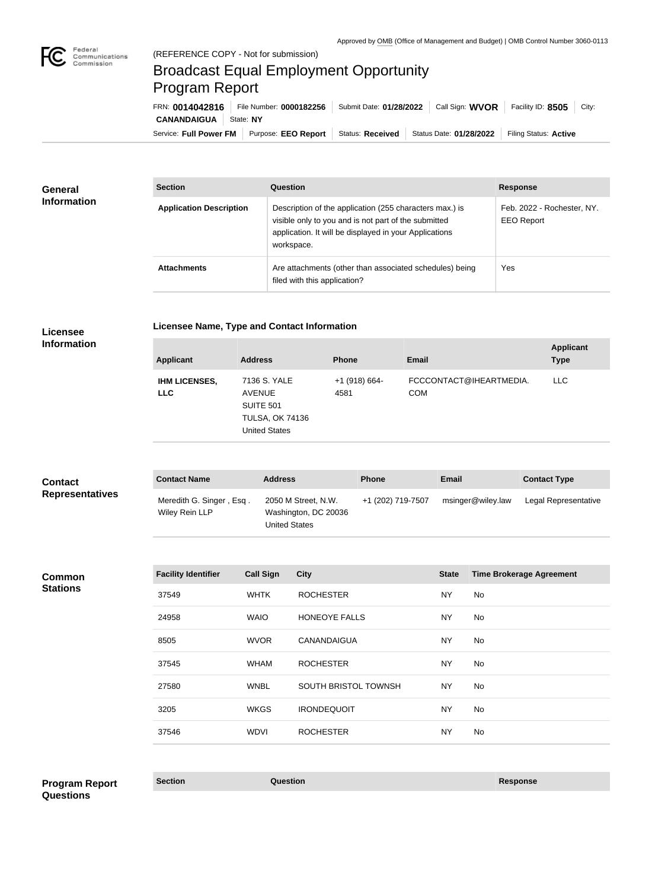

**COL** 

## Broadcast Equal Employment Opportunity Program Report

Service: Full Power FM | Purpose: EEO Report | Status: Received | Status Date: 01/28/2022 | Filing Status: Active **CANANDAIGUA** State: NY FRN: **0014042816** File Number: **0000182256** Submit Date: **01/28/2022** Call Sign: **WVOR** Facility ID: **8505** City:

| <b>General</b><br><b>Information</b> | <b>Section</b>                 | <b>Question</b>                                                                                                                                                                         | <b>Response</b>                                 |
|--------------------------------------|--------------------------------|-----------------------------------------------------------------------------------------------------------------------------------------------------------------------------------------|-------------------------------------------------|
|                                      | <b>Application Description</b> | Description of the application (255 characters max.) is<br>visible only to you and is not part of the submitted<br>application. It will be displayed in your Applications<br>workspace. | Feb. 2022 - Rochester, NY.<br><b>EEO Report</b> |
|                                      | <b>Attachments</b>             | Are attachments (other than associated schedules) being<br>filed with this application?                                                                                                 | Yes                                             |

**Licensee** 

**Licensee Name, Type and Contact Information**

| ---------          |  |
|--------------------|--|
|                    |  |
| <b>Information</b> |  |
|                    |  |
|                    |  |

| <b>Applicant</b>                   | <b>Address</b>                                                                               | <b>Phone</b>            | <b>Email</b>                          | <b>Applicant</b><br><b>Type</b> |
|------------------------------------|----------------------------------------------------------------------------------------------|-------------------------|---------------------------------------|---------------------------------|
| <b>IHM LICENSES,</b><br><b>LLC</b> | 7136 S. YALE<br>AVENUE<br><b>SUITE 501</b><br><b>TULSA, OK 74136</b><br><b>United States</b> | $+1$ (918) 664-<br>4581 | FCCCONTACT@IHEARTMEDIA.<br><b>COM</b> | LLC.                            |

| <b>Contact</b>         | <b>Contact Name</b>                        | <b>Address</b>                                               | <b>Phone</b>      | <b>Email</b>      | <b>Contact Type</b>  |
|------------------------|--------------------------------------------|--------------------------------------------------------------|-------------------|-------------------|----------------------|
| <b>Representatives</b> | Meredith G. Singer, Esq.<br>Wiley Rein LLP | 2050 M Street, N.W.<br>Washington, DC 20036<br>United States | +1 (202) 719-7507 | msinger@wiley.law | Legal Representative |

**Common Stations**

| <b>Facility Identifier</b> | <b>Call Sign</b> | <b>City</b>          | <b>State</b> | <b>Time Brokerage Agreement</b> |
|----------------------------|------------------|----------------------|--------------|---------------------------------|
| 37549                      | <b>WHTK</b>      | <b>ROCHESTER</b>     | NY           | No                              |
| 24958                      | <b>WAIO</b>      | <b>HONEOYE FALLS</b> | NY           | No                              |
| 8505                       | <b>WVOR</b>      | <b>CANANDAIGUA</b>   | <b>NY</b>    | No                              |
| 37545                      | <b>WHAM</b>      | <b>ROCHESTER</b>     | NY           | No                              |
| 27580                      | <b>WNBL</b>      | SOUTH BRISTOL TOWNSH | NY           | No                              |
| 3205                       | <b>WKGS</b>      | <b>IRONDEQUOIT</b>   | NY           | No                              |
| 37546                      | <b>WDVI</b>      | <b>ROCHESTER</b>     | <b>NY</b>    | No                              |
|                            |                  |                      |              |                                 |

**Section Question Response Program Report Questions**